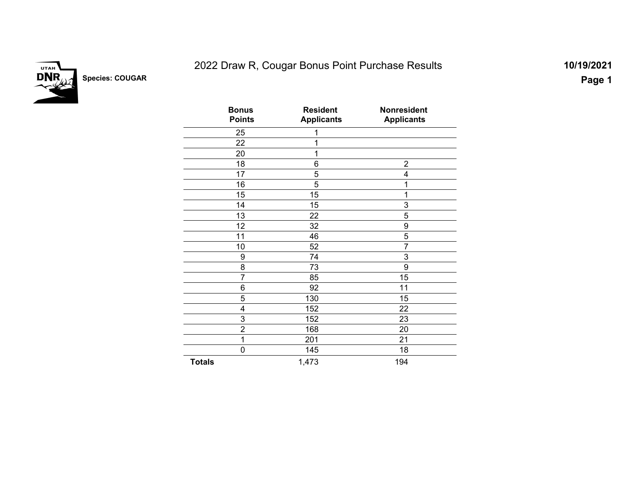

# 2022 Draw R, Cougar Bonus Point Purchase Results **10/19/2021**

| <b>Bonus</b><br><b>Points</b> | <b>Resident</b><br><b>Applicants</b> | <b>Nonresident</b><br><b>Applicants</b> |  |
|-------------------------------|--------------------------------------|-----------------------------------------|--|
| 25                            | 1                                    |                                         |  |
| 22                            | 1                                    |                                         |  |
| 20                            | 1                                    |                                         |  |
| 18                            | 6                                    | $\overline{2}$                          |  |
| 17                            | 5                                    | 4                                       |  |
| 16                            | 5                                    | 1                                       |  |
| 15                            | 15                                   | 1                                       |  |
| 14                            | 15                                   | 3                                       |  |
| 13                            | 22                                   | 5                                       |  |
| 12                            | 32                                   | 9                                       |  |
| 11                            | 46                                   | 5                                       |  |
| 10                            | 52                                   | $\overline{7}$                          |  |
| 9                             | 74                                   | 3                                       |  |
| 8                             | 73                                   | 9                                       |  |
| 7                             | 85                                   | 15                                      |  |
| 6                             | 92                                   | 11                                      |  |
| 5                             | 130                                  | 15                                      |  |
| $\overline{\mathbf{4}}$       | 152                                  | 22                                      |  |
| 3                             | 152                                  | 23                                      |  |
| $\overline{2}$                | 168                                  | 20                                      |  |
| 1                             | 201                                  | 21                                      |  |
| 0                             | 145                                  | 18                                      |  |
| <b>Totals</b>                 | 1,473                                | 194                                     |  |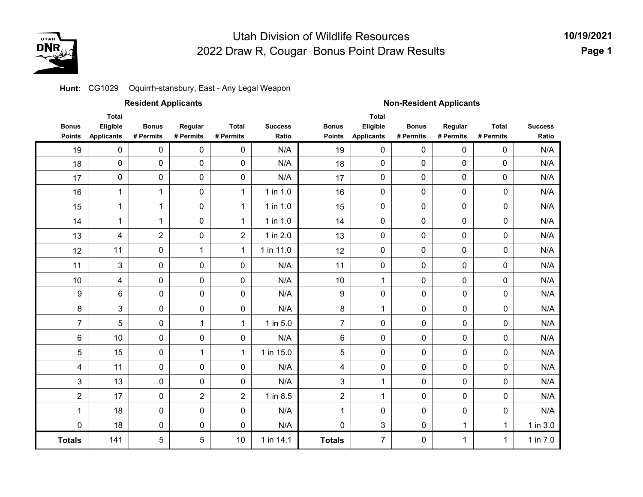

**10/19/2021Page 1**

#### **Hunt: C**G1029 Oquirrh-stansbury, East - Any Legal Weapon

|                               |                                               | <b>Resident Applicants</b> |                      |                           |                         | <b>Non-Resident Applicants</b> |                                               |                           |                      |                           |                         |  |
|-------------------------------|-----------------------------------------------|----------------------------|----------------------|---------------------------|-------------------------|--------------------------------|-----------------------------------------------|---------------------------|----------------------|---------------------------|-------------------------|--|
| <b>Bonus</b><br><b>Points</b> | <b>Total</b><br>Eligible<br><b>Applicants</b> | <b>Bonus</b><br># Permits  | Regular<br># Permits | <b>Total</b><br># Permits | <b>Success</b><br>Ratio | <b>Bonus</b><br><b>Points</b>  | <b>Total</b><br>Eligible<br><b>Applicants</b> | <b>Bonus</b><br># Permits | Regular<br># Permits | <b>Total</b><br># Permits | <b>Success</b><br>Ratio |  |
| 19                            | $\pmb{0}$                                     | 0                          | 0                    | $\mathbf 0$               | N/A                     | 19                             | 0                                             | $\mathbf 0$               | 0                    | 0                         | N/A                     |  |
| 18                            | $\pmb{0}$                                     | $\pmb{0}$                  | $\pmb{0}$            | $\pmb{0}$                 | N/A                     | 18                             | 0                                             | 0                         | 0                    | 0                         | N/A                     |  |
| 17                            | 0                                             | 0                          | $\pmb{0}$            | $\pmb{0}$                 | N/A                     | 17                             | 0                                             | $\pmb{0}$                 | 0                    | 0                         | N/A                     |  |
| 16                            | $\mathbf 1$                                   | 1                          | $\pmb{0}$            | $\mathbf{1}$              | 1 in 1.0                | 16                             | 0                                             | 0                         | $\pmb{0}$            | 0                         | N/A                     |  |
| 15                            | 1                                             | 1                          | $\pmb{0}$            | $\mathbf{1}$              | 1 in 1.0                | 15                             | $\pmb{0}$                                     | 0                         | $\pmb{0}$            | 0                         | N/A                     |  |
| 14                            | $\mathbf{1}$                                  | 1                          | $\mathbf 0$          | $\mathbf{1}$              | 1 in 1.0                | 14                             | $\mathbf 0$                                   | $\mathbf 0$               | 0                    | 0                         | N/A                     |  |
| 13                            | 4                                             | $\overline{2}$             | $\pmb{0}$            | $\overline{2}$            | 1 in 2.0                | 13                             | 0                                             | 0                         | 0                    | 0                         | N/A                     |  |
| 12                            | 11                                            | $\pmb{0}$                  | $\mathbf{1}$         | $\mathbf{1}$              | 1 in 11.0               | 12                             | 0                                             | 0                         | 0                    | 0                         | N/A                     |  |
| 11                            | 3                                             | 0                          | 0                    | 0                         | N/A                     | 11                             | 0                                             | 0                         | 0                    | $\pmb{0}$                 | N/A                     |  |
| 10                            | 4                                             | $\pmb{0}$                  | $\pmb{0}$            | 0                         | N/A                     | 10                             | $\mathbf{1}$                                  | 0                         | $\pmb{0}$            | $\pmb{0}$                 | N/A                     |  |
| 9                             | 6                                             | $\pmb{0}$                  | $\pmb{0}$            | $\pmb{0}$                 | N/A                     | $\boldsymbol{9}$               | 0                                             | 0                         | $\pmb{0}$            | 0                         | N/A                     |  |
| 8                             | 3                                             | 0                          | $\mathbf 0$          | $\pmb{0}$                 | N/A                     | 8                              | $\mathbf 1$                                   | 0                         | 0                    | 0                         | N/A                     |  |
| $\overline{7}$                | 5                                             | 0                          | $\mathbf{1}$         | 1                         | 1 in 5.0                | $\overline{7}$                 | $\pmb{0}$                                     | 0                         | 0                    | 0                         | N/A                     |  |
| $\,6$                         | 10                                            | $\pmb{0}$                  | $\pmb{0}$            | $\pmb{0}$                 | N/A                     | 6                              | $\pmb{0}$                                     | 0                         | $\pmb{0}$            | 0                         | N/A                     |  |
| 5                             | 15                                            | $\pmb{0}$                  | $\mathbf{1}$         | $\mathbf{1}$              | 1 in 15.0               | 5                              | 0                                             | 0                         | $\mathbf 0$          | 0                         | N/A                     |  |
| $\overline{\mathcal{A}}$      | 11                                            | $\pmb{0}$                  | $\mathbf 0$          | $\pmb{0}$                 | N/A                     | $\overline{\mathbf{4}}$        | 0                                             | 0                         | $\pmb{0}$            | 0                         | N/A                     |  |
| 3                             | 13                                            | $\pmb{0}$                  | $\mathbf 0$          | $\pmb{0}$                 | N/A                     | 3                              | 1                                             | 0                         | $\pmb{0}$            | 0                         | N/A                     |  |
| $\overline{2}$                | 17                                            | $\pmb{0}$                  | $\overline{2}$       | $\overline{2}$            | 1 in 8.5                | $\overline{c}$                 | $\mathbf 1$                                   | 0                         | $\pmb{0}$            | 0                         | N/A                     |  |
| $\mathbf 1$                   | 18                                            | $\pmb{0}$                  | $\pmb{0}$            | $\pmb{0}$                 | N/A                     | 1                              | 0                                             | 0                         | $\pmb{0}$            | 0                         | N/A                     |  |
| $\mathbf 0$                   | 18                                            | 0                          | 0                    | $\pmb{0}$                 | N/A                     | $\pmb{0}$                      | 3                                             | 0                         | 1                    | 1                         | 1 in 3.0                |  |
| <b>Totals</b>                 | 141                                           | 5                          | 5                    | 10                        | 1 in 14.1               | <b>Totals</b>                  | $\overline{7}$                                | 0                         | 1                    | 1                         | 1 in 7.0                |  |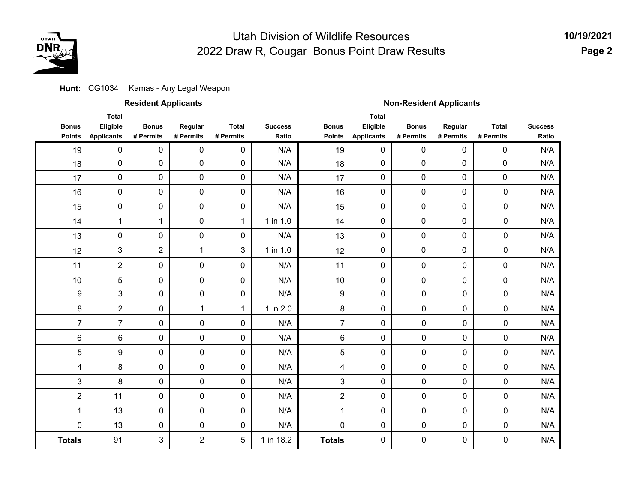

**Hunt: CG1034 Kamas - Any Legal Weapon** 

|  | <b>Resident Applicants</b> |
|--|----------------------------|
|--|----------------------------|

#### **Resident Applicants Non-Resident Applicants**

|                  | <b>Total</b>      |                |                |              |                |                | <b>Total</b>      |              |             |              |                |
|------------------|-------------------|----------------|----------------|--------------|----------------|----------------|-------------------|--------------|-------------|--------------|----------------|
| <b>Bonus</b>     | Eligible          | <b>Bonus</b>   | Regular        | <b>Total</b> | <b>Success</b> | <b>Bonus</b>   | Eligible          | <b>Bonus</b> | Regular     | <b>Total</b> | <b>Success</b> |
| Points           | <b>Applicants</b> | # Permits      | # Permits      | # Permits    | Ratio          | <b>Points</b>  | <b>Applicants</b> | # Permits    | # Permits   | # Permits    | Ratio          |
| 19               | 0                 | $\mathbf 0$    | $\mathbf 0$    | 0            | N/A            | 19             | 0                 | $\mathbf 0$  | 0           | 0            | N/A            |
| 18               | $\mathbf 0$       | $\mathbf 0$    | $\mathbf 0$    | 0            | N/A            | 18             | $\mathbf 0$       | $\mathbf 0$  | 0           | $\mathbf 0$  | N/A            |
| 17               | $\pmb{0}$         | 0              | $\mathbf 0$    | 0            | N/A            | 17             | 0                 | 0            | 0           | 0            | N/A            |
| 16               | $\pmb{0}$         | 0              | $\mathbf 0$    | 0            | N/A            | 16             | 0                 | 0            | 0           | 0            | N/A            |
| 15               | $\pmb{0}$         | 0              | $\mathbf 0$    | 0            | N/A            | 15             | 0                 | 0            | 0           | $\pmb{0}$    | N/A            |
| 14               | $\mathbf{1}$      | $\mathbf{1}$   | $\mathbf 0$    | $\mathbf{1}$ | 1 in 1.0       | 14             | $\mathbf 0$       | $\mathbf 0$  | 0           | $\mathbf 0$  | N/A            |
| 13               | 0                 | 0              | $\mathbf 0$    | 0            | N/A            | 13             | $\mathbf 0$       | 0            | 0           | $\mathbf 0$  | N/A            |
| 12               | $\mathbf{3}$      | $\overline{2}$ | 1              | 3            | 1 in 1.0       | 12             | $\mathbf 0$       | 0            | 0           | 0            | N/A            |
| 11               | $\overline{2}$    | 0              | $\mathbf 0$    | 0            | N/A            | 11             | 0                 | 0            | $\mathbf 0$ | $\mathbf 0$  | N/A            |
| 10               | $\overline{5}$    | $\mathbf 0$    | $\mathbf 0$    | 0            | N/A            | 10             | 0                 | 0            | 0           | $\mathbf 0$  | N/A            |
| $\boldsymbol{9}$ | $\mathfrak{S}$    | 0              | $\mathbf 0$    | 0            | N/A            | 9              | 0                 | $\mathbf 0$  | 0           | $\mathbf 0$  | N/A            |
| 8                | $\overline{2}$    | 0              | 1              | $\mathbf{1}$ | 1 in 2.0       | 8              | 0                 | $\mathbf 0$  | 0           | 0            | N/A            |
| $\overline{7}$   | $\overline{7}$    | 0              | $\mathbf 0$    | 0            | N/A            | $\overline{7}$ | 0                 | $\mathbf 0$  | 0           | $\mathbf 0$  | N/A            |
| 6                | $\,6$             | 0              | 0              | 0            | N/A            | 6              | 0                 | $\mathbf 0$  | 0           | $\pmb{0}$    | N/A            |
| 5                | 9                 | 0              | 0              | 0            | N/A            | 5              | 0                 | $\mathbf 0$  | 0           | $\mathbf 0$  | N/A            |
| 4                | 8                 | $\mathbf 0$    | 0              | 0            | N/A            | 4              | 0                 | $\mathbf 0$  | 0           | 0            | N/A            |
| $\mathfrak{B}$   | $\bf 8$           | 0              | 0              | 0            | N/A            | 3              | 0                 | $\mathbf 0$  | 0           | 0            | N/A            |
| $\overline{2}$   | 11                | 0              | 0              | 0            | N/A            | $\overline{2}$ | 0                 | $\mathbf 0$  | 0           | 0            | N/A            |
| 1                | 13                | 0              | $\mathbf 0$    | 0            | N/A            | 1              | 0                 | $\mathbf 0$  | 0           | $\mathbf 0$  | N/A            |
| 0                | 13                | 0              | $\mathbf 0$    | 0            | N/A            | 0              | 0                 | $\mathbf 0$  | 0           | $\mathbf 0$  | N/A            |
| <b>Totals</b>    | 91                | 3              | $\overline{2}$ | 5            | 1 in 18.2      | <b>Totals</b>  | 0                 | $\mathbf 0$  | 0           | $\mathbf 0$  | N/A            |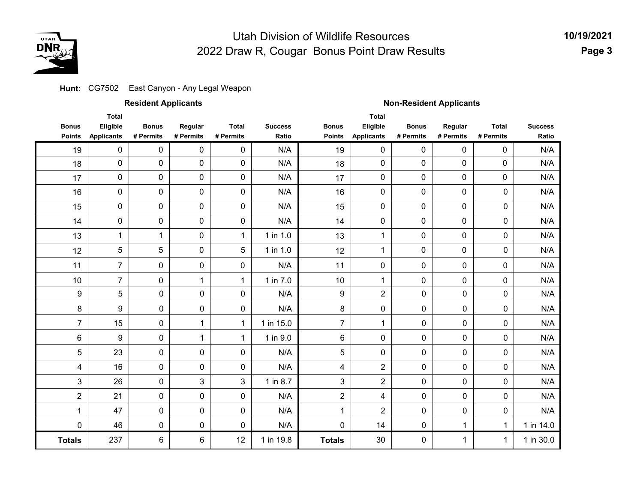

2 14

1 0

**Totals**

0 0 0

0 1 1

0 1 1

N/A N/A N/A N/A N/A N/A N/A

1 in 14.0 1 in 30.0 **10/19/2021Page 3**

#### **Hunt: CG7502 East Canyon - Any Legal Weapon**

47 46 0 0 6 0 0 6

237

1 0

**Totals**

|                               |                                               | <b>Resident Applicants</b> |                      |                           |                         | <b>Non-Resident Applicants</b> |                                               |                           |                      |                           |                         |
|-------------------------------|-----------------------------------------------|----------------------------|----------------------|---------------------------|-------------------------|--------------------------------|-----------------------------------------------|---------------------------|----------------------|---------------------------|-------------------------|
| <b>Bonus</b><br><b>Points</b> | <b>Total</b><br>Eligible<br><b>Applicants</b> | <b>Bonus</b><br># Permits  | Regular<br># Permits | <b>Total</b><br># Permits | <b>Success</b><br>Ratio | <b>Bonus</b><br><b>Points</b>  | <b>Total</b><br>Eligible<br><b>Applicants</b> | <b>Bonus</b><br># Permits | Regular<br># Permits | <b>Total</b><br># Permits | <b>Success</b><br>Ratio |
| 19                            | 0                                             | 0                          | 0                    | 0                         | N/A                     | 19                             | $\mathbf 0$                                   | 0                         | $\mathbf{0}$         | 0                         | N/A                     |
| 18                            | 0                                             | $\mathbf 0$                | 0                    | $\mathbf 0$               | N/A                     | 18                             | 0                                             | 0                         | 0                    | $\mathbf 0$               | N/A                     |
| 17                            | 0                                             | 0                          | 0                    | $\mathbf 0$               | N/A                     | 17                             | 0                                             | 0                         | 0                    | $\mathbf 0$               | N/A                     |
| 16                            | 0                                             | 0                          | 0                    | 0                         | N/A                     | 16                             | 0                                             | 0                         | 0                    | 0                         | N/A                     |
| 15                            | 0                                             | $\mathbf 0$                | 0                    | 0                         | N/A                     | 15                             | $\mathbf 0$                                   | 0                         | 0                    | $\Omega$                  | N/A                     |
| 14                            | 0                                             | 0                          | 0                    | $\mathbf 0$               | N/A                     | 14                             | 0                                             | 0                         | 0                    | $\Omega$                  | N/A                     |
| 13                            | 1                                             | 1                          | 0                    | $\mathbf 1$               | 1 in 1.0                | 13                             | 1                                             | 0                         | 0                    | 0                         | N/A                     |
| 12                            | 5                                             | 5                          | 0                    | 5                         | 1 in 1.0                | 12                             | 1                                             | 0                         | 0                    | 0                         | N/A                     |
| 11                            | $\overline{7}$                                | 0                          | 0                    | 0                         | N/A                     | 11                             | 0                                             | 0                         | 0                    | 0                         | N/A                     |
| 10                            | $\overline{7}$                                | 0                          | 1                    | 1                         | 1 in 7.0                | 10                             | 1                                             | 0                         | 0                    | $\Omega$                  | N/A                     |
| $\boldsymbol{9}$              | 5                                             | 0                          | 0                    | $\mathbf 0$               | N/A                     | 9                              | $\overline{2}$                                | 0                         | 0                    | 0                         | N/A                     |
| 8                             | 9                                             | 0                          | 0                    | 0                         | N/A                     | 8                              | $\mathbf 0$                                   | $\mathbf 0$               | 0                    | $\Omega$                  | N/A                     |
| $\overline{7}$                | 15                                            | 0                          | 1                    | 1                         | 1 in 15.0               | $\overline{7}$                 | 1                                             | 0                         | 0                    | 0                         | N/A                     |
| 6                             | 9                                             | 0                          | 1                    | 1                         | 1 in 9.0                | 6                              | $\mathbf 0$                                   | 0                         | 0                    | 0                         | N/A                     |
| 5                             | 23                                            | 0                          | 0                    | $\Omega$                  | N/A                     | 5                              | $\mathbf 0$                                   | $\mathbf 0$               | 0                    | $\Omega$                  | N/A                     |
| 4                             | 16                                            | 0                          | 0                    | 0                         | N/A                     | 4                              | $\overline{2}$                                | 0                         | 0                    | 0                         | N/A                     |
| 3                             | 26                                            | 0                          | 3                    | 3                         | 1 in 8.7                | $\mathbf{3}$                   | $\overline{2}$                                | 0                         | 0                    | 0                         | N/A                     |
| $\overline{2}$                | 21                                            | 0                          | 0                    | 0                         | N/A                     | $\overline{2}$                 | 4                                             | $\mathbf 0$               | 0                    | 0                         | N/A                     |

30 1 in 19.8

N/A N/A

0 0 12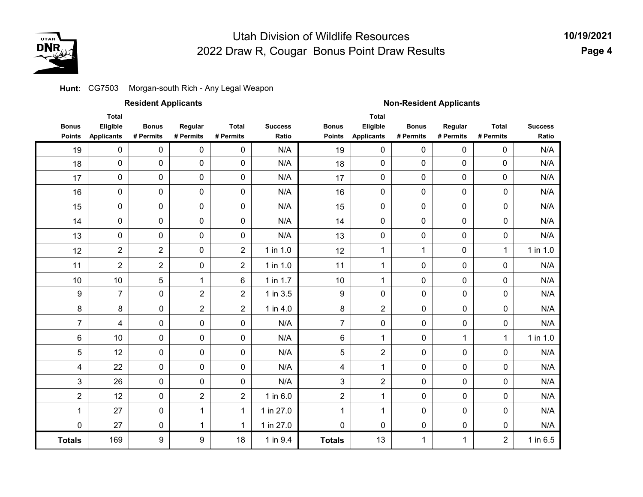

#### **Hunt: C**G7503 Morgan-south Rich - Any Legal Weapon

|                               |                                               | <b>Resident Applicants</b> |                      |                           |                         | <b>Non-Resident Applicants</b> |                                               |                           |                      |                           |                         |  |
|-------------------------------|-----------------------------------------------|----------------------------|----------------------|---------------------------|-------------------------|--------------------------------|-----------------------------------------------|---------------------------|----------------------|---------------------------|-------------------------|--|
| <b>Bonus</b><br><b>Points</b> | <b>Total</b><br>Eligible<br><b>Applicants</b> | <b>Bonus</b><br># Permits  | Regular<br># Permits | <b>Total</b><br># Permits | <b>Success</b><br>Ratio | <b>Bonus</b><br><b>Points</b>  | <b>Total</b><br>Eligible<br><b>Applicants</b> | <b>Bonus</b><br># Permits | Regular<br># Permits | <b>Total</b><br># Permits | <b>Success</b><br>Ratio |  |
| 19                            | $\pmb{0}$                                     | 0                          | $\pmb{0}$            | 0                         | N/A                     | 19                             | 0                                             | 0                         | $\mathbf 0$          | 0                         | N/A                     |  |
| 18                            | $\pmb{0}$                                     | $\pmb{0}$                  | $\pmb{0}$            | 0                         | N/A                     | 18                             | $\mathbf 0$                                   | $\mathbf 0$               | 0                    | 0                         | N/A                     |  |
| 17                            | $\pmb{0}$                                     | 0                          | $\pmb{0}$            | 0                         | N/A                     | 17                             | 0                                             | 0                         | 0                    | 0                         | N/A                     |  |
| 16                            | $\pmb{0}$                                     | $\mathbf 0$                | $\pmb{0}$            | 0                         | N/A                     | 16                             | $\mathbf 0$                                   | $\mathbf 0$               | 0                    | 0                         | N/A                     |  |
| 15                            | 0                                             | 0                          | $\pmb{0}$            | 0                         | N/A                     | 15                             | 0                                             | 0                         | 0                    | 0                         | N/A                     |  |
| 14                            | $\pmb{0}$                                     | 0                          | $\pmb{0}$            | 0                         | N/A                     | 14                             | 0                                             | 0                         | 0                    | 0                         | N/A                     |  |
| 13                            | $\pmb{0}$                                     | 0                          | $\pmb{0}$            | 0                         | N/A                     | 13                             | $\pmb{0}$                                     | 0                         | 0                    | 0                         | N/A                     |  |
| 12                            | $\overline{2}$                                | $\overline{2}$             | $\pmb{0}$            | $\overline{2}$            | $1$ in $1.0$            | 12                             | $\mathbf 1$                                   | $\mathbf{1}$              | 0                    | $\mathbf{1}$              | $1$ in $1.0$            |  |
| 11                            | $\overline{2}$                                | $\overline{2}$             | 0                    | $\overline{2}$            | 1 in 1.0                | 11                             | 1                                             | $\pmb{0}$                 | 0                    | $\pmb{0}$                 | N/A                     |  |
| $10$                          | 10                                            | 5                          | $\mathbf 1$          | 6                         | 1 in 1.7                | 10                             | 1                                             | $\pmb{0}$                 | 0                    | $\pmb{0}$                 | N/A                     |  |
| $\boldsymbol{9}$              | $\overline{7}$                                | 0                          | $\overline{c}$       | $\overline{c}$            | 1 in 3.5                | 9                              | $\mathbf 0$                                   | 0                         | 0                    | 0                         | N/A                     |  |
| 8                             | 8                                             | 0                          | $\overline{2}$       | $\overline{c}$            | 1 in 4.0                | 8                              | $\overline{2}$                                | 0                         | 0                    | 0                         | N/A                     |  |
| $\overline{7}$                | 4                                             | 0                          | 0                    | 0                         | N/A                     | $\overline{7}$                 | $\pmb{0}$                                     | 0                         | 0                    | 0                         | N/A                     |  |
| 6                             | 10                                            | 0                          | 0                    | 0                         | N/A                     | 6                              | 1                                             | 0                         | 1                    | $\mathbf{1}$              | 1 in 1.0                |  |
| 5                             | 12                                            | 0                          | 0                    | 0                         | N/A                     | 5                              | $\overline{2}$                                | 0                         | $\pmb{0}$            | 0                         | N/A                     |  |
| 4                             | 22                                            | 0                          | 0                    | 0                         | N/A                     | 4                              | $\mathbf{1}$                                  | 0                         | 0                    | 0                         | N/A                     |  |
| 3                             | 26                                            | 0                          | 0                    | 0                         | N/A                     | 3                              | $\overline{2}$                                | 0                         | 0                    | 0                         | N/A                     |  |
| $\boldsymbol{2}$              | 12                                            | 0                          | $\overline{2}$       | $\overline{c}$            | 1 in 6.0                | $\overline{2}$                 | $\mathbf{1}$                                  | 0                         | 0                    | 0                         | N/A                     |  |
| 1                             | 27                                            | 0                          | $\mathbf{1}$         | $\mathbf 1$               | 1 in 27.0               | 1                              | 1                                             | 0                         | 0                    | 0                         | N/A                     |  |
| 0                             | 27                                            | 0                          | $\mathbf 1$          | $\mathbf{1}$              | 1 in 27.0               | 0                              | $\mathbf 0$                                   | 0                         | 0                    | 0                         | N/A                     |  |
| <b>Totals</b>                 | 169                                           | 9                          | 9                    | 18                        | 1 in 9.4                | <b>Totals</b>                  | 13                                            | 1                         | 1                    | $\overline{2}$            | 1 in $6.5$              |  |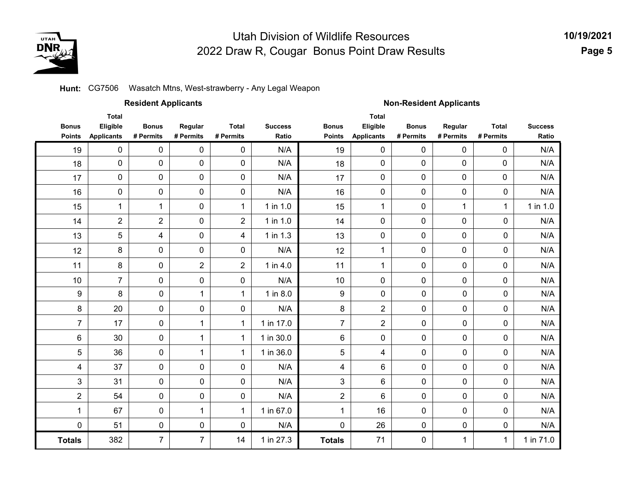

**10/19/2021 Page 5**

#### **Hunt: CG7506 Wasatch Mtns, West-strawberry - Any Legal Weapon**

|                               |                                               | <b>Resident Applicants</b> |                      |                           |                         | <b>Non-Resident Applicants</b> |                                               |                           |                      |                           |                         |  |
|-------------------------------|-----------------------------------------------|----------------------------|----------------------|---------------------------|-------------------------|--------------------------------|-----------------------------------------------|---------------------------|----------------------|---------------------------|-------------------------|--|
| <b>Bonus</b><br><b>Points</b> | <b>Total</b><br>Eligible<br><b>Applicants</b> | <b>Bonus</b><br># Permits  | Regular<br># Permits | <b>Total</b><br># Permits | <b>Success</b><br>Ratio | <b>Bonus</b><br><b>Points</b>  | <b>Total</b><br>Eligible<br><b>Applicants</b> | <b>Bonus</b><br># Permits | Regular<br># Permits | <b>Total</b><br># Permits | <b>Success</b><br>Ratio |  |
| 19                            | 0                                             | 0                          | 0                    | $\mathbf 0$               | N/A                     | 19                             | 0                                             | 0                         | 0                    | 0                         | N/A                     |  |
| 18                            | 0                                             | 0                          | $\mathbf 0$          | $\mathbf 0$               | N/A                     | 18                             | 0                                             | 0                         | 0                    | $\mathbf{0}$              | N/A                     |  |
| 17                            | 0                                             | 0                          | 0                    | $\mathbf 0$               | N/A                     | 17                             | 0                                             | 0                         | 0                    | 0                         | N/A                     |  |
| 16                            | 0                                             | 0                          | $\mathbf 0$          | $\mathbf 0$               | N/A                     | 16                             | 0                                             | 0                         | $\mathbf 0$          | $\mathbf 0$               | N/A                     |  |
| 15                            | $\mathbf{1}$                                  | $\mathbf 1$                | $\mathbf 0$          | $\mathbf 1$               | 1 in 1.0                | 15                             | 1                                             | 0                         | 1                    | 1                         | 1 in 1.0                |  |
| 14                            | $\overline{c}$                                | $\overline{2}$             | $\mathbf 0$          | $\overline{2}$            | 1 in 1.0                | 14                             | 0                                             | 0                         | 0                    | $\mathbf 0$               | N/A                     |  |
| 13                            | 5                                             | 4                          | $\mathbf 0$          | 4                         | 1 in 1.3                | 13                             | 0                                             | $\mathbf 0$               | 0                    | 0                         | N/A                     |  |
| 12                            | 8                                             | 0                          | 0                    | $\mathbf 0$               | N/A                     | 12                             | 1                                             | 0                         | 0                    | $\pmb{0}$                 | N/A                     |  |
| 11                            | 8                                             | 0                          | $\overline{2}$       | $\overline{2}$            | 1 in 4.0                | 11                             | $\mathbf{1}$                                  | $\pmb{0}$                 | 0                    | 0                         | N/A                     |  |
| 10                            | $\overline{7}$                                | 0                          | 0                    | 0                         | N/A                     | 10                             | 0                                             | $\mathbf 0$               | 0                    | $\mathbf 0$               | N/A                     |  |
| $\boldsymbol{9}$              | 8                                             | $\mathsf{O}\xspace$        | 1                    | 1                         | 1 in 8.0                | 9                              | 0                                             | 0                         | $\pmb{0}$            | $\pmb{0}$                 | N/A                     |  |
| 8                             | 20                                            | 0                          | 0                    | $\mathbf 0$               | N/A                     | 8                              | $\overline{2}$                                | 0                         | $\pmb{0}$            | 0                         | N/A                     |  |
| $\overline{7}$                | 17                                            | $\mathbf 0$                | 1                    | 1                         | 1 in 17.0               | $\overline{7}$                 | $\overline{2}$                                | $\mathbf 0$               | $\mathbf 0$          | $\mathbf 0$               | N/A                     |  |
| 6                             | 30                                            | $\mathbf 0$                | 1                    | 1                         | 1 in 30.0               | 6                              | 0                                             | 0                         | 0                    | $\mathbf 0$               | N/A                     |  |
| 5                             | 36                                            | $\mathbf 0$                | 1                    | $\mathbf{1}$              | 1 in 36.0               | 5                              | 4                                             | 0                         | $\pmb{0}$            | 0                         | N/A                     |  |
| 4                             | 37                                            | $\mathbf 0$                | 0                    | $\mathbf 0$               | N/A                     | $\overline{\mathbf{4}}$        | 6                                             | $\mathbf 0$               | $\mathbf 0$          | $\mathbf 0$               | N/A                     |  |
| 3                             | 31                                            | $\mathbf 0$                | 0                    | $\mathbf 0$               | N/A                     | 3                              | 6                                             | 0                         | $\pmb{0}$            | $\mathbf 0$               | N/A                     |  |
| $\overline{2}$                | 54                                            | $\mathsf{O}\xspace$        | 0                    | $\pmb{0}$                 | N/A                     | $\overline{2}$                 | 6                                             | $\pmb{0}$                 | $\pmb{0}$            | $\pmb{0}$                 | N/A                     |  |
| 1                             | 67                                            | 0                          | 1                    | $\mathbf 1$               | 1 in 67.0               | 1                              | 16                                            | 0                         | $\mathbf 0$          | 0                         | N/A                     |  |
| $\mathbf 0$                   | 51                                            | $\mathbf 0$                | 0                    | $\mathbf 0$               | N/A                     | 0                              | 26                                            | 0                         | $\pmb{0}$            | 0                         | N/A                     |  |
| <b>Totals</b>                 | 382                                           | $\overline{7}$             | $\overline{7}$       | 14                        | 1 in 27.3               | <b>Totals</b>                  | 71                                            | 0                         | 1                    | 1                         | 1 in 71.0               |  |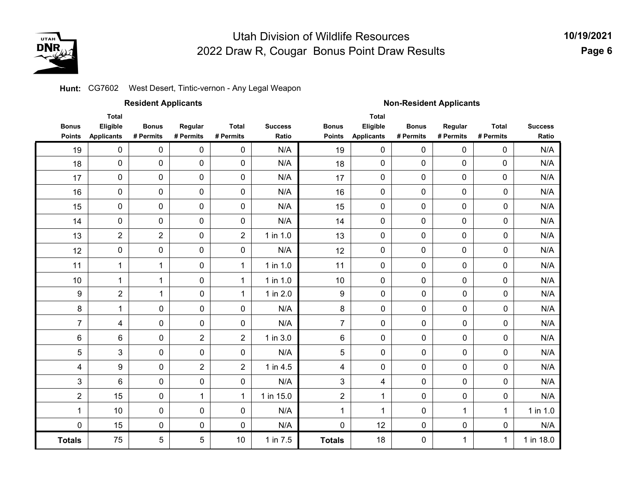

**10/19/2021Page 6**

#### **Hunt:** CG7602 West Desert, Tintic-vernon - Any Legal Weapon

|                               |                                               | <b>Resident Applicants</b> |                      |                           |                         | <b>Non-Resident Applicants</b> |                                               |                           |                      |                           |                         |  |
|-------------------------------|-----------------------------------------------|----------------------------|----------------------|---------------------------|-------------------------|--------------------------------|-----------------------------------------------|---------------------------|----------------------|---------------------------|-------------------------|--|
| <b>Bonus</b><br><b>Points</b> | <b>Total</b><br>Eligible<br><b>Applicants</b> | <b>Bonus</b><br># Permits  | Regular<br># Permits | <b>Total</b><br># Permits | <b>Success</b><br>Ratio | <b>Bonus</b><br><b>Points</b>  | <b>Total</b><br>Eligible<br><b>Applicants</b> | <b>Bonus</b><br># Permits | Regular<br># Permits | <b>Total</b><br># Permits | <b>Success</b><br>Ratio |  |
| 19                            | $\mathbf 0$                                   | 0                          | 0                    | 0                         | N/A                     | 19                             | $\mathbf 0$                                   | 0                         | $\pmb{0}$            | 0                         | N/A                     |  |
| 18                            | 0                                             | $\mathbf 0$                | 0                    | 0                         | N/A                     | 18                             | 0                                             | 0                         | $\mathbf 0$          | 0                         | N/A                     |  |
| 17                            | 0                                             | 0                          | 0                    | 0                         | N/A                     | 17                             | 0                                             | 0                         | $\pmb{0}$            | 0                         | N/A                     |  |
| 16                            | 0                                             | 0                          | $\pmb{0}$            | 0                         | N/A                     | 16                             | $\pmb{0}$                                     | 0                         | $\pmb{0}$            | 0                         | N/A                     |  |
| 15                            | $\mathbf 0$                                   | 0                          | $\pmb{0}$            | 0                         | N/A                     | 15                             | $\mathbf 0$                                   | 0                         | $\pmb{0}$            | 0                         | N/A                     |  |
| 14                            | 0                                             | 0                          | $\pmb{0}$            | 0                         | N/A                     | 14                             | $\mathbf 0$                                   | 0                         | $\pmb{0}$            | 0                         | N/A                     |  |
| 13                            | $\overline{2}$                                | $\overline{2}$             | 0                    | $\overline{2}$            | 1 in 1.0                | 13                             | $\mathbf 0$                                   | 0                         | $\pmb{0}$            | 0                         | N/A                     |  |
| 12                            | 0                                             | 0                          | $\pmb{0}$            | 0                         | N/A                     | 12                             | $\mathbf 0$                                   | 0                         | $\mathbf 0$          | 0                         | N/A                     |  |
| 11                            | $\mathbf{1}$                                  | 1                          | 0                    | $\mathbf 1$               | 1 in 1.0                | 11                             | $\mathbf 0$                                   | 0                         | $\pmb{0}$            | $\pmb{0}$                 | N/A                     |  |
| 10                            | 1                                             | 1                          | 0                    | 1                         | 1 in 1.0                | 10                             | 0                                             | 0                         | $\mathbf 0$          | 0                         | N/A                     |  |
| 9                             | $\overline{2}$                                | $\mathbf{1}$               | $\mathbf 0$          | $\mathbf{1}$              | 1 in 2.0                | 9                              | $\mathbf 0$                                   | 0                         | 0                    | 0                         | N/A                     |  |
| 8                             | $\mathbf 1$                                   | $\mathbf 0$                | $\mathbf 0$          | 0                         | N/A                     | 8                              | $\mathbf 0$                                   | 0                         | 0                    | 0                         | N/A                     |  |
| $\overline{7}$                | 4                                             | 0                          | $\pmb{0}$            | 0                         | N/A                     | $\overline{7}$                 | 0                                             | 0                         | 0                    | 0                         | N/A                     |  |
| 6                             | 6                                             | 0                          | $\overline{2}$       | $\overline{2}$            | 1 in 3.0                | 6                              | $\mathbf 0$                                   | 0                         | 0                    | 0                         | N/A                     |  |
| 5                             | 3                                             | 0                          | $\pmb{0}$            | $\pmb{0}$                 | N/A                     | 5                              | $\pmb{0}$                                     | $\pmb{0}$                 | 0                    | 0                         | N/A                     |  |
| 4                             | 9                                             | 0                          | $\overline{2}$       | $\overline{2}$            | 1 in 4.5                | 4                              | $\mathbf 0$                                   | 0                         | 0                    | 0                         | N/A                     |  |
| 3                             | 6                                             | $\mathbf 0$                | $\pmb{0}$            | 0                         | N/A                     | 3                              | 4                                             | $\mathbf 0$               | 0                    | 0                         | N/A                     |  |
| $\overline{2}$                | 15                                            | $\pmb{0}$                  | $\mathbf{1}$         | 1                         | 1 in 15.0               | $\overline{2}$                 | 1                                             | $\pmb{0}$                 | 0                    | 0                         | N/A                     |  |
| 1                             | 10                                            | 0                          | $\mathbf 0$          | 0                         | N/A                     | 1                              | 1                                             | 0                         | 1                    | $\mathbf{1}$              | 1 in 1.0                |  |
| 0                             | 15                                            | 0                          | $\mathbf 0$          | 0                         | N/A                     | 0                              | 12                                            | 0                         | 0                    | 0                         | N/A                     |  |
| <b>Totals</b>                 | 75                                            | 5                          | 5                    | $10$                      | 1 in 7.5                | <b>Totals</b>                  | 18                                            | 0                         | 1                    | $\mathbf{1}$              | 1 in 18.0               |  |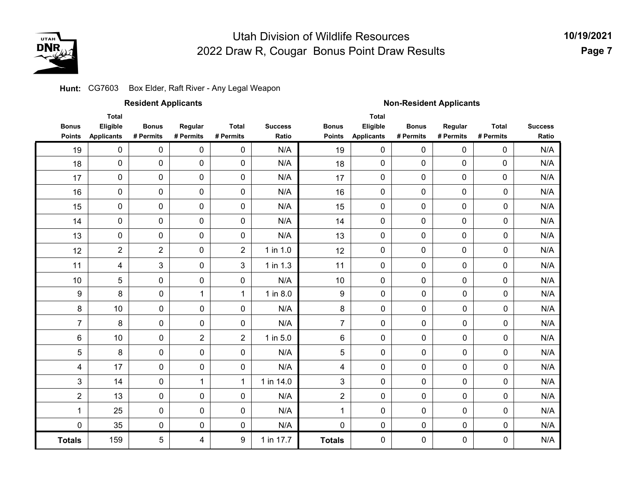

#### **Hunt: C**G7603 Box Elder, Raft River - Any Legal Weapon

|                               |                                               | <b>Resident Applicants</b> |                      |                           |                         | <b>Non-Resident Applicants</b> |                                               |                           |                      |                           |                         |  |
|-------------------------------|-----------------------------------------------|----------------------------|----------------------|---------------------------|-------------------------|--------------------------------|-----------------------------------------------|---------------------------|----------------------|---------------------------|-------------------------|--|
| <b>Bonus</b><br><b>Points</b> | <b>Total</b><br>Eligible<br><b>Applicants</b> | <b>Bonus</b><br># Permits  | Regular<br># Permits | <b>Total</b><br># Permits | <b>Success</b><br>Ratio | <b>Bonus</b><br><b>Points</b>  | <b>Total</b><br>Eligible<br><b>Applicants</b> | <b>Bonus</b><br># Permits | Regular<br># Permits | <b>Total</b><br># Permits | <b>Success</b><br>Ratio |  |
| 19                            | 0                                             | 0                          | $\mathbf 0$          | $\pmb{0}$                 | N/A                     | 19                             | $\mathsf{O}\xspace$                           | 0                         | $\pmb{0}$            | 0                         | N/A                     |  |
| 18                            | 0                                             | 0                          | $\pmb{0}$            | $\pmb{0}$                 | N/A                     | 18                             | 0                                             | 0                         | 0                    | 0                         | N/A                     |  |
| 17                            | $\pmb{0}$                                     | 0                          | 0                    | $\pmb{0}$                 | N/A                     | 17                             | 0                                             | 0                         | $\pmb{0}$            | 0                         | N/A                     |  |
| 16                            | $\pmb{0}$                                     | 0                          | 0                    | $\pmb{0}$                 | N/A                     | 16                             | 0                                             | 0                         | $\pmb{0}$            | $\pmb{0}$                 | N/A                     |  |
| 15                            | $\pmb{0}$                                     | 0                          | 0                    | $\pmb{0}$                 | N/A                     | 15                             | 0                                             | 0                         | $\mathbf 0$          | $\mathbf 0$               | N/A                     |  |
| 14                            | $\pmb{0}$                                     | 0                          | 0                    | $\pmb{0}$                 | N/A                     | 14                             | 0                                             | 0                         | $\pmb{0}$            | $\pmb{0}$                 | N/A                     |  |
| 13                            | 0                                             | 0                          | 0                    | $\pmb{0}$                 | N/A                     | 13                             | 0                                             | 0                         | $\mathbf 0$          | $\mathbf 0$               | N/A                     |  |
| 12                            | $\overline{2}$                                | $\overline{2}$             | 0                    | $\overline{2}$            | $1$ in $1.0$            | 12                             | 0                                             | 0                         | $\pmb{0}$            | $\pmb{0}$                 | N/A                     |  |
| 11                            | 4                                             | 3                          | 0                    | $\mathbf{3}$              | 1 in 1.3                | 11                             | 0                                             | 0                         | 0                    | $\pmb{0}$                 | N/A                     |  |
| 10                            | 5                                             | 0                          | 0                    | $\pmb{0}$                 | N/A                     | 10                             | 0                                             | 0                         | 0                    | $\pmb{0}$                 | N/A                     |  |
| 9                             | 8                                             | $\mathbf 0$                | $\mathbf{1}$         | $\mathbf{1}$              | 1 in 8.0                | 9                              | 0                                             | $\pmb{0}$                 | 0                    | $\pmb{0}$                 | N/A                     |  |
| 8                             | 10                                            | $\mathbf 0$                | 0                    | $\pmb{0}$                 | N/A                     | 8                              | 0                                             | 0                         | 0                    | $\pmb{0}$                 | N/A                     |  |
| $\overline{7}$                | 8                                             | $\mathbf 0$                | $\pmb{0}$            | $\pmb{0}$                 | N/A                     | $\overline{7}$                 | 0                                             | $\mathbf 0$               | $\pmb{0}$            | $\pmb{0}$                 | N/A                     |  |
| $\,6\,$                       | 10                                            | $\pmb{0}$                  | $\overline{c}$       | $\overline{c}$            | 1 in 5.0                | $\,6$                          | 0                                             | 0                         | 0                    | $\pmb{0}$                 | N/A                     |  |
| 5                             | 8                                             | $\mathbf 0$                | $\pmb{0}$            | 0                         | N/A                     | 5                              | $\mathbf 0$                                   | 0                         | 0                    | $\mathbf 0$               | N/A                     |  |
| 4                             | 17                                            | $\pmb{0}$                  | $\pmb{0}$            | $\pmb{0}$                 | N/A                     | 4                              | $\mathsf{O}\xspace$                           | $\pmb{0}$                 | 0                    | $\pmb{0}$                 | N/A                     |  |
| 3                             | 14                                            | $\pmb{0}$                  | $\mathbf 1$          | $\mathbf{1}$              | 1 in 14.0               | 3                              | 0                                             | $\pmb{0}$                 | 0                    | $\pmb{0}$                 | N/A                     |  |
| $\overline{c}$                | 13                                            | $\mathbf 0$                | $\pmb{0}$            | $\pmb{0}$                 | N/A                     | $\overline{c}$                 | $\mathsf{O}\xspace$                           | $\pmb{0}$                 | 0                    | $\pmb{0}$                 | N/A                     |  |
| 1                             | 25                                            | $\pmb{0}$                  | $\pmb{0}$            | 0                         | N/A                     |                                | 0                                             | 0                         | 0                    | 0                         | N/A                     |  |
| 0                             | 35                                            | $\mathbf 0$                | $\pmb{0}$            | $\pmb{0}$                 | N/A                     | $\pmb{0}$                      | $\mathsf{O}\xspace$                           | $\pmb{0}$                 | 0                    | $\pmb{0}$                 | N/A                     |  |
| <b>Totals</b>                 | 159                                           | 5                          | 4                    | 9                         | 1 in 17.7               | <b>Totals</b>                  | $\mathbf 0$                                   | 0                         | 0                    | 0                         | N/A                     |  |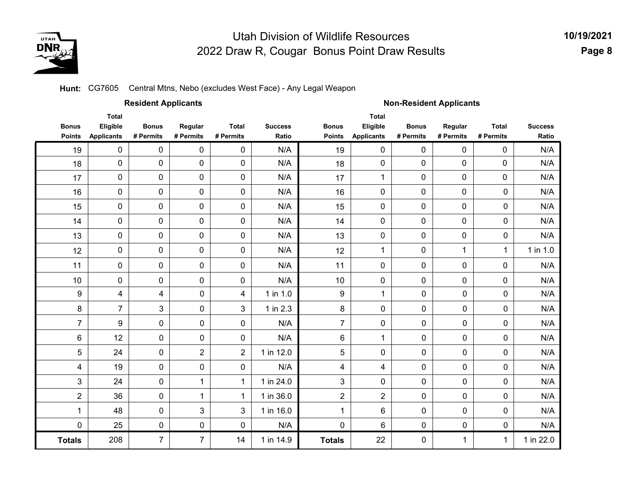

**10/19/2021 Page 8**

#### **Hunt:** CG7605 Central Mtns, Nebo (excludes West Face) - Any Legal Weapon

|                               |                                               | <b>Resident Applicants</b> |                      |                           |                         | <b>Non-Resident Applicants</b> |                                               |                           |                      |                           |                         |  |
|-------------------------------|-----------------------------------------------|----------------------------|----------------------|---------------------------|-------------------------|--------------------------------|-----------------------------------------------|---------------------------|----------------------|---------------------------|-------------------------|--|
| <b>Bonus</b><br><b>Points</b> | <b>Total</b><br>Eligible<br><b>Applicants</b> | <b>Bonus</b><br># Permits  | Regular<br># Permits | <b>Total</b><br># Permits | <b>Success</b><br>Ratio | <b>Bonus</b><br><b>Points</b>  | <b>Total</b><br>Eligible<br><b>Applicants</b> | <b>Bonus</b><br># Permits | Regular<br># Permits | <b>Total</b><br># Permits | <b>Success</b><br>Ratio |  |
| 19                            | $\mathbf 0$                                   | $\mathbf 0$                | 0                    | 0                         | N/A                     | 19                             | $\mathbf 0$                                   | 0                         | $\mathbf 0$          | $\mathbf 0$               | N/A                     |  |
| 18                            | 0                                             | 0                          | 0                    | 0                         | N/A                     | 18                             | 0                                             | 0                         | $\mathbf 0$          | $\mathbf 0$               | N/A                     |  |
| 17                            | 0                                             | 0                          | 0                    | 0                         | N/A                     | 17                             | 1                                             | 0                         | $\mathbf 0$          | $\mathbf 0$               | N/A                     |  |
| 16                            | 0                                             | 0                          | 0                    | 0                         | N/A                     | 16                             | 0                                             | 0                         | $\mathbf 0$          | 0                         | N/A                     |  |
| 15                            | 0                                             | $\mathbf 0$                | 0                    | 0                         | N/A                     | 15                             | 0                                             | 0                         | $\mathbf 0$          | 0                         | N/A                     |  |
| 14                            | $\mathbf 0$                                   | $\mathbf 0$                | $\mathbf 0$          | 0                         | N/A                     | 14                             | $\mathbf 0$                                   | 0                         | $\mathbf 0$          | 0                         | N/A                     |  |
| 13                            | $\mathbf 0$                                   | 0                          | 0                    | 0                         | N/A                     | 13                             | $\mathbf 0$                                   | 0                         | $\mathbf 0$          | 0                         | N/A                     |  |
| 12                            | $\mathbf 0$                                   | $\mathbf 0$                | 0                    | 0                         | N/A                     | 12                             | $\mathbf{1}$                                  | 0                         | $\mathbf{1}$         | $\mathbf{1}$              | $1$ in $1.0$            |  |
| 11                            | 0                                             | $\mathbf 0$                | $\mathbf 0$          | $\mathbf 0$               | N/A                     | 11                             | $\mathbf 0$                                   | $\mathbf 0$               | $\mathbf 0$          | $\mathbf 0$               | N/A                     |  |
| 10                            | 0                                             | $\mathbf 0$                | 0                    | $\mathbf 0$               | N/A                     | 10                             | $\mathbf 0$                                   | 0                         | $\mathbf 0$          | $\mathbf 0$               | N/A                     |  |
| 9                             | 4                                             | 4                          | 0                    | 4                         | 1 in 1.0                | 9                              | 1                                             | 0                         | 0                    | 0                         | N/A                     |  |
| 8                             | $\overline{7}$                                | 3                          | $\mathbf 0$          | 3                         | 1 in 2.3                | 8                              | 0                                             | 0                         | $\mathbf 0$          | 0                         | N/A                     |  |
| $\overline{7}$                | 9                                             | $\mathbf 0$                | $\mathbf 0$          | 0                         | N/A                     | $\overline{7}$                 | 0                                             | 0                         | $\mathbf 0$          | 0                         | N/A                     |  |
| 6                             | 12                                            | $\mathbf 0$                | $\mathbf 0$          | 0                         | N/A                     | 6                              | $\mathbf{1}$                                  | 0                         | $\mathbf 0$          | $\pmb{0}$                 | N/A                     |  |
| 5                             | 24                                            | $\mathbf 0$                | $\overline{2}$       | $\overline{2}$            | 1 in 12.0               | 5                              | 0                                             | 0                         | $\mathbf 0$          | 0                         | N/A                     |  |
| 4                             | 19                                            | $\mathbf 0$                | 0                    | 0                         | N/A                     | 4                              | 4                                             | 0                         | $\mathbf 0$          | 0                         | N/A                     |  |
| 3                             | 24                                            | $\mathbf 0$                | 1                    | $\mathbf{1}$              | 1 in 24.0               | 3                              | 0                                             | 0                         | 0                    | $\pmb{0}$                 | N/A                     |  |
| $\overline{2}$                | 36                                            | $\mathbf 0$                | 1                    | 1                         | 1 in 36.0               | $\overline{2}$                 | $\overline{2}$                                | 0                         | 0                    | 0                         | N/A                     |  |
| $\mathbf{1}$                  | 48                                            | $\mathbf 0$                | 3                    | 3                         | 1 in 16.0               | 1                              | 6                                             | 0                         | 0                    | 0                         | N/A                     |  |
| $\pmb{0}$                     | 25                                            | $\mathbf 0$                | 0                    | 0                         | N/A                     | $\pmb{0}$                      | 6                                             | 0                         | 0                    | 0                         | N/A                     |  |
| <b>Totals</b>                 | 208                                           | $\overline{7}$             | $\overline{7}$       | 14                        | 1 in 14.9               | <b>Totals</b>                  | 22                                            | 0                         | $\mathbf{1}$         | $\mathbf{1}$              | 1 in 22.0               |  |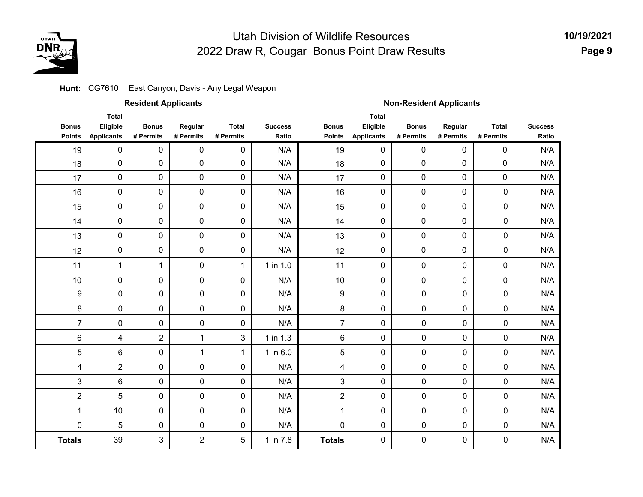

#### **Hunt:** CG7610 East Canyon, Davis - Any Legal Weapon

|                               |                                               | <b>Resident Applicants</b> |                      |                           |                         | <b>Non-Resident Applicants</b> |                                               |                           |                      |                           |                         |  |
|-------------------------------|-----------------------------------------------|----------------------------|----------------------|---------------------------|-------------------------|--------------------------------|-----------------------------------------------|---------------------------|----------------------|---------------------------|-------------------------|--|
| <b>Bonus</b><br><b>Points</b> | <b>Total</b><br>Eligible<br><b>Applicants</b> | <b>Bonus</b><br># Permits  | Regular<br># Permits | <b>Total</b><br># Permits | <b>Success</b><br>Ratio | <b>Bonus</b><br><b>Points</b>  | <b>Total</b><br>Eligible<br><b>Applicants</b> | <b>Bonus</b><br># Permits | Regular<br># Permits | <b>Total</b><br># Permits | <b>Success</b><br>Ratio |  |
| 19                            | $\pmb{0}$                                     | 0                          | 0                    | 0                         | N/A                     | 19                             | $\mathsf{O}\xspace$                           | 0                         | $\pmb{0}$            | 0                         | N/A                     |  |
| 18                            | 0                                             | 0                          | 0                    | 0                         | N/A                     | 18                             | 0                                             | $\pmb{0}$                 | 0                    | 0                         | N/A                     |  |
| 17                            | $\pmb{0}$                                     | 0                          | $\pmb{0}$            | 0                         | N/A                     | 17                             | 0                                             | $\pmb{0}$                 | $\pmb{0}$            | $\pmb{0}$                 | N/A                     |  |
| 16                            | 0                                             | 0                          | $\pmb{0}$            | 0                         | N/A                     | 16                             | 0                                             | $\pmb{0}$                 | $\pmb{0}$            | $\pmb{0}$                 | N/A                     |  |
| 15                            | 0                                             | 0                          | 0                    | 0                         | N/A                     | 15                             | $\mathbf 0$                                   | 0                         | $\pmb{0}$            | $\mathbf 0$               | N/A                     |  |
| 14                            | 0                                             | 0                          | $\pmb{0}$            | $\pmb{0}$                 | N/A                     | 14                             | 0                                             | 0                         | $\pmb{0}$            | $\pmb{0}$                 | N/A                     |  |
| 13                            | 0                                             | $\mathbf 0$                | 0                    | 0                         | N/A                     | 13                             | 0                                             | 0                         | $\mathbf 0$          | $\pmb{0}$                 | N/A                     |  |
| 12                            | 0                                             | 0                          | $\pmb{0}$            | 0                         | N/A                     | 12                             | 0                                             | $\pmb{0}$                 | $\pmb{0}$            | $\pmb{0}$                 | N/A                     |  |
| 11                            | $\mathbf 1$                                   | 1                          | 0                    | $\mathbf{1}$              | $1$ in $1.0$            | 11                             | $\mathsf{O}\xspace$                           | 0                         | 0                    | $\pmb{0}$                 | N/A                     |  |
| 10                            | 0                                             | 0                          | 0                    | 0                         | N/A                     | 10                             | 0                                             | $\pmb{0}$                 | 0                    | $\pmb{0}$                 | N/A                     |  |
| $\boldsymbol{9}$              | 0                                             | $\pmb{0}$                  | $\pmb{0}$            | 0                         | N/A                     | 9                              | $\pmb{0}$                                     | 0                         | 0                    | $\pmb{0}$                 | N/A                     |  |
| $\bf 8$                       | 0                                             | $\pmb{0}$                  | $\mathbf 0$          | 0                         | N/A                     | 8                              | 0                                             | 0                         | 0                    | 0                         | N/A                     |  |
| $\overline{7}$                | 0                                             | $\pmb{0}$                  | $\pmb{0}$            | 0                         | N/A                     | $\overline{7}$                 | $\pmb{0}$                                     | 0                         | 0                    | 0                         | N/A                     |  |
| $\,6$                         | 4                                             | $\overline{2}$             | $\mathbf{1}$         | 3                         | $1$ in $1.3$            | 6                              | $\pmb{0}$                                     | 0                         | $\pmb{0}$            | 0                         | N/A                     |  |
| 5                             | 6                                             | 0                          | $\mathbf{1}$         | $\mathbf{1}$              | 1 in 6.0                | 5                              | $\mathbf 0$                                   | 0                         | 0                    | 0                         | N/A                     |  |
| 4                             | $\overline{c}$                                | $\pmb{0}$                  | 0                    | 0                         | N/A                     | $\overline{\mathbf{4}}$        | $\pmb{0}$                                     | 0                         | 0                    | $\pmb{0}$                 | N/A                     |  |
| 3                             | 6                                             | $\pmb{0}$                  | $\mathbf 0$          | 0                         | N/A                     | 3                              | $\mathbf 0$                                   | 0                         | 0                    | 0                         | N/A                     |  |
| $\boldsymbol{2}$              | 5                                             | $\pmb{0}$                  | $\mathbf 0$          | 0                         | N/A                     | $\overline{2}$                 | $\pmb{0}$                                     | 0                         | 0                    | 0                         | N/A                     |  |
| 1                             | 10                                            | $\pmb{0}$                  | 0                    | 0                         | N/A                     | 1                              | $\pmb{0}$                                     | 0                         | 0                    | 0                         | N/A                     |  |
| $\pmb{0}$                     | 5                                             | 0                          | $\mathbf 0$          | 0                         | N/A                     | 0                              | $\pmb{0}$                                     | 0                         | 0                    | $\pmb{0}$                 | N/A                     |  |
| <b>Totals</b>                 | 39                                            | 3                          | $\overline{2}$       | 5                         | 1 in 7.8                | <b>Totals</b>                  | 0                                             | 0                         | 0                    | 0                         | N/A                     |  |